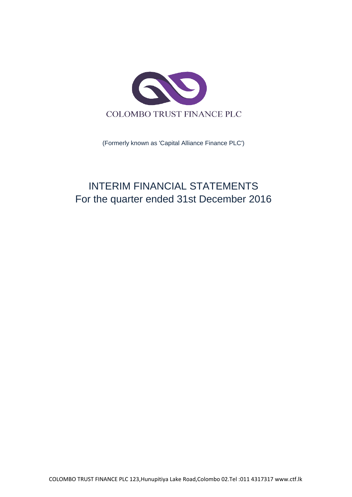

(Formerly known as 'Capital Alliance Finance PLC')

# INTERIM FINANCIAL STATEMENTS For the quarter ended 31st December 2016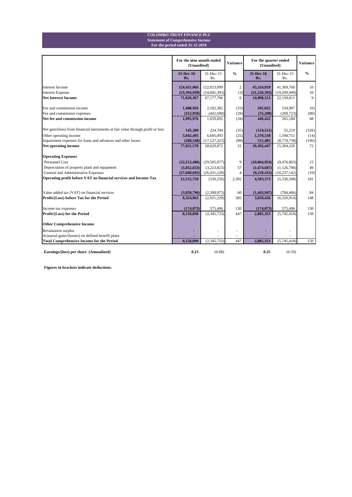#### **For the period ended 31-12-2016 Statement of Comprehensive Income COLOMBO TRUST FINANCE PLC**

|                                                                                        | For the nine month ended<br>(Unaudited) |                            | <b>Variance</b> | For the quarter ended<br>(Unaudited) | <b>Variance</b>           |               |
|----------------------------------------------------------------------------------------|-----------------------------------------|----------------------------|-----------------|--------------------------------------|---------------------------|---------------|
|                                                                                        | 31-Dec-16<br>Rs.                        | 31-Dec-15<br>Rs.           | $\frac{0}{0}$   | 31-Dec-16<br>Rs.                     | 31-Dec-15<br>Rs.          | $\frac{0}{0}$ |
| <b>Interest Income</b>                                                                 | 124,421,066                             | 122,023,099                | 2               | 45,324,818                           | 41,369,760                | 10            |
| <b>Interest Expense</b>                                                                | (53,394,699)                            | (54, 845, 393)             | (3)             | (21, 226, 305)                       | (19,209,949)              | 10            |
| <b>Net Interest Income</b>                                                             | 71,026,367                              | 67,177,706                 | 6               | 24,098,513                           | 22,159,811                | 9             |
| Fee and commission income                                                              | 1,408,926                               | 2,102,382                  | (33)            | 501,622                              | 534,907                   | (6)           |
| Fee and commission expenses                                                            | (312,950)                               | (442, 690)                 | (29)            | (55,200)                             | (269, 723)                | (80)          |
| Net fee and commission income                                                          | 1,095,976                               | 1,659,692                  | (34)            | 446,422                              | 265,184                   | 68            |
| Net gain/(loss) from financial instruments at fair value through profit or loss        | 145,280                                 | 224,704                    | (35)            | (124, 531)                           | 55,219                    | (326)         |
| Other operating income                                                                 | 5,042,495                               | 6,695,093                  | (25)            | 1,370,558                            | 1,594,751                 | (14)          |
| Impairment expenses for loans and advances and other losses                            | (288, 548)                              | (17, 127, 323)             | (98)            | 511,485                              | (8,770,738)               | (106)         |
| Net operating income                                                                   | 77,021,570                              | 58,629,872                 | 31              | 26,302,447                           | 15,304,226                | 72            |
| <b>Operating Expenses</b>                                                              |                                         |                            |                 |                                      |                           |               |
| <b>Personnel Cost</b>                                                                  | (32, 212, 486)                          | (29, 505, 077)             | 9               | (10, 864, 954)                       | (9,476,803)               | 15            |
| Depreciation of property plant and equipment                                           | (5,052,633)                             | (3,223,823)                | 57              | (1,674,687)                          | (1, 126, 790)             | 49            |
| General and Administrative Expenses                                                    | (27,600,692)                            | (26, 431, 228)             | 4               | (9,259,433)                          | (10, 237, 142)            | (10)          |
| Operating profit before VAT on financial services and Income Tax                       | 12,155,759                              | (530, 256)                 | 2,392           | 4,503,373                            | (5,536,508)               | 181           |
|                                                                                        |                                         |                            |                 |                                      |                           |               |
| Value added tax (VAT) on financial services<br>Profit/(Loss) before Tax for the Period | (3,830,796)<br>8,324,963                | (2,390,973)<br>(2,921,229) | 60<br>385       | (1,443,947)<br>3,059,426             | (784, 406)<br>(6,320,914) | 84<br>148     |
|                                                                                        |                                         |                            |                 |                                      |                           |               |
| Income tax expenses                                                                    | (174, 073)                              | 575,496                    | 130             | (174, 073)                           | 575,496                   | 130           |
| Profit/(Loss) for the Period                                                           | 8,150,890                               | (2,345,733)                | 447             | 2,885,353                            | (5,745,418)               | 150           |
| <b>Other Comprehensive Income</b>                                                      |                                         |                            |                 |                                      |                           |               |
| Revaluation surplus                                                                    |                                         |                            |                 |                                      |                           |               |
| Actuarial gains/(losses) on defined benefit plans                                      |                                         |                            |                 |                                      |                           |               |
| <b>Total Comprehensive Income for the Period</b>                                       | 8,150,890                               | (2,345,733)                | 447             | 2,885,353                            | (5,745,418)               | 150           |
| Earnings/(loss) per share (Annualized)                                                 | 0.23                                    | (0.08)                     |                 | 0.25                                 | (0.59)                    |               |

**Figures in brackets indicate deductions.**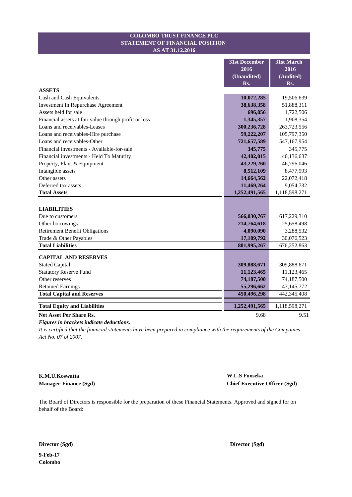### **STATEMENT OF FINANCIAL POSITION COLOMBO TRUST FINANCE PLC AS AT 31.12.2016**

|                                                       | <b>31st December</b> | 31st March    |
|-------------------------------------------------------|----------------------|---------------|
|                                                       | 2016                 | 2016          |
|                                                       | (Unaudited)          | (Audited)     |
|                                                       | Rs.                  | Rs.           |
| <b>ASSETS</b>                                         |                      |               |
| Cash and Cash Equivalents                             | 10,072,285           | 19,506,639    |
| Investment In Repurchase Agreement                    | 38,638,358           | 51,888,311    |
| Assets held for sale                                  | 696,056              | 1,722,506     |
| Financial assets at fair value through profit or loss | 1,345,357            | 1,908,354     |
| Loans and receivables-Leases                          | 300,236,728          | 263,723,556   |
| Loans and receivables-Hire purchase                   | 59,222,207           | 105,797,350   |
| Loans and receivables-Other                           | 721,657,589          | 547,167,954   |
| Financial investments - Available-for-sale            | 345,775              | 345,775       |
| Financial investments - Held To Maturity              | 42,402,015           | 40,136,637    |
| Property, Plant & Equipment                           | 43,229,260           | 46,796,046    |
| Intangible assets                                     | 8,512,109            | 8,477,993     |
| Other assets                                          | 14,664,562           | 22,072,418    |
| Deferred tax assets                                   | 11,469,264           | 9,054,732     |
| <b>Total Assets</b>                                   | 1,252,491,565        | 1,118,598,271 |
|                                                       |                      |               |
| <b>LIABILITIES</b>                                    |                      |               |
| Due to customers                                      | 566,030,767          | 617,229,310   |
| Other borrowings                                      | 214,764,618          | 25,658,498    |
| <b>Retirement Benefit Obligations</b>                 | 4,090,090            | 3,288,532     |
| Trade & Other Payables                                | 17,109,792           | 30,076,523    |
| <b>Total Liabilities</b>                              | 801,995,267          | 676, 252, 863 |
| <b>CAPITAL AND RESERVES</b>                           |                      |               |
| <b>Stated Capital</b>                                 | 309,888,671          | 309,888,671   |
| <b>Statutory Reserve Fund</b>                         | 11,123,465           | 11,123,465    |
| Other reserves                                        | 74,187,500           | 74,187,500    |
| <b>Retained Earnings</b>                              | 55,296,662           | 47, 145, 772  |
| <b>Total Capital and Reserves</b>                     | 450,496,298          | 442,345,408   |
|                                                       |                      |               |
| <b>Total Equity and Liabilities</b>                   | 1,252,491,565        | 1,118,598,271 |
| <b>Net Asset Per Share Rs.</b>                        | 9.68                 | 9.51          |

*Figures in brackets indicate deductions.*

*It is certified that the financial statements have been prepared in compliance with the requirements of the Companies Act No. 07 of 2007.*

**K.M.U.Koswatta W.L.S Fonseka**

**Manager-Finance (Sgd) Chief Executive Officer (Sgd)**

The Board of Directors is responsible for the preparation of these Financial Statements. Approved and signed for on behalf of the Board: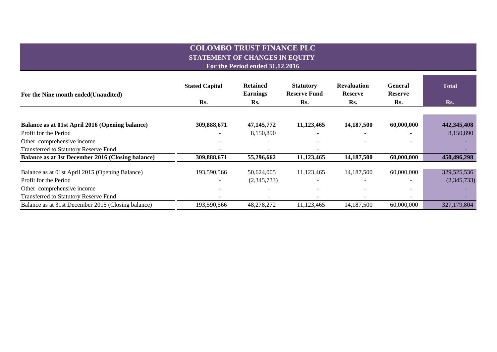# **COLOMBO TRUST FINANCE PLC STATEMENT OF CHANGES IN EQUITY For the Period ended 31.12.2016**

| For the Nine month ended (Unaudited)               | <b>Stated Capital</b> | <b>Retained</b><br><b>Earnings</b> | <b>Statutory</b><br><b>Reserve Fund</b> | <b>Revaluation</b><br><b>Reserve</b> | <b>General</b><br><b>Reserve</b> | <b>Total</b> |
|----------------------------------------------------|-----------------------|------------------------------------|-----------------------------------------|--------------------------------------|----------------------------------|--------------|
|                                                    | Rs.                   | Rs.                                | Rs.                                     | Rs.                                  | Rs.                              | Rs.          |
|                                                    |                       |                                    |                                         |                                      |                                  |              |
| Balance as at 01st April 2016 (Opening balance)    | 309,888,671           | 47, 145, 772                       | 11,123,465                              | 14,187,500                           | 60,000,000                       | 442,345,408  |
| Profit for the Period                              |                       | 8,150,890                          |                                         |                                      |                                  | 8,150,890    |
| Other comprehensive income                         |                       |                                    |                                         |                                      |                                  |              |
| <b>Transferred to Statutory Reserve Fund</b>       |                       |                                    |                                         |                                      |                                  |              |
| Balance as at 3st December 2016 (Closing balance)  | 309,888,671           | 55,296,662                         | 11,123,465                              | 14,187,500                           | 60,000,000                       | 450,496,298  |
| Balance as at 01st April 2015 (Opening Balance)    | 193,590,566           | 50,624,005                         | 11,123,465                              | 14,187,500                           | 60,000,000                       | 329,525,536  |
| Profit for the Period                              |                       | (2,345,733)                        | $\overline{\phantom{0}}$                | $\overline{\phantom{a}}$             |                                  | (2,345,733)  |
| Other comprehensive income                         |                       |                                    |                                         |                                      |                                  |              |
| Transferred to Statutory Reserve Fund              |                       |                                    |                                         |                                      | $\overline{\phantom{0}}$         |              |
| Balance as at 31st December 2015 (Closing balance) | 193,590,566           | 48,278,272                         | 11,123,465                              | 14,187,500                           | 60,000,000                       | 327,179,804  |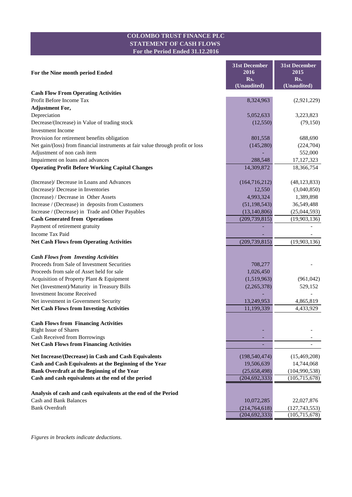# **COLOMBO TRUST FINANCE PLC STATEMENT OF CASH FLOWS For the Period Ended 31.12.2016**

| 2016<br>2015<br>For the Nine month period Ended<br>Rs.<br>Rs.<br>(Unaudited)<br>$\overline{(\text{Unaudited})}$<br><b>Cash Flow From Operating Activities</b><br>Profit Before Income Tax<br>8,324,963<br>(2,921,229)<br><b>Adjustment For,</b><br>Depreciation<br>5,052,633<br>3,223,823<br>Decrease/(Increase) in Value of trading stock<br>(79, 150)<br>(12, 550)<br><b>Investment Income</b><br>Provision for retirement benefits obligation<br>688,690<br>801,558<br>Net gain/(loss) from financial instruments at fair value through profit or loss<br>(145, 280)<br>(224,704)<br>Adjustment of non cash item<br>552,000<br>Impairment on loans and advances<br>288,548<br>17, 127, 323<br><b>Operating Profit Before Working Capital Changes</b><br>14,309,872 |
|-----------------------------------------------------------------------------------------------------------------------------------------------------------------------------------------------------------------------------------------------------------------------------------------------------------------------------------------------------------------------------------------------------------------------------------------------------------------------------------------------------------------------------------------------------------------------------------------------------------------------------------------------------------------------------------------------------------------------------------------------------------------------|
|                                                                                                                                                                                                                                                                                                                                                                                                                                                                                                                                                                                                                                                                                                                                                                       |
|                                                                                                                                                                                                                                                                                                                                                                                                                                                                                                                                                                                                                                                                                                                                                                       |
|                                                                                                                                                                                                                                                                                                                                                                                                                                                                                                                                                                                                                                                                                                                                                                       |
|                                                                                                                                                                                                                                                                                                                                                                                                                                                                                                                                                                                                                                                                                                                                                                       |
|                                                                                                                                                                                                                                                                                                                                                                                                                                                                                                                                                                                                                                                                                                                                                                       |
|                                                                                                                                                                                                                                                                                                                                                                                                                                                                                                                                                                                                                                                                                                                                                                       |
|                                                                                                                                                                                                                                                                                                                                                                                                                                                                                                                                                                                                                                                                                                                                                                       |
|                                                                                                                                                                                                                                                                                                                                                                                                                                                                                                                                                                                                                                                                                                                                                                       |
|                                                                                                                                                                                                                                                                                                                                                                                                                                                                                                                                                                                                                                                                                                                                                                       |
|                                                                                                                                                                                                                                                                                                                                                                                                                                                                                                                                                                                                                                                                                                                                                                       |
|                                                                                                                                                                                                                                                                                                                                                                                                                                                                                                                                                                                                                                                                                                                                                                       |
| 18,366,754                                                                                                                                                                                                                                                                                                                                                                                                                                                                                                                                                                                                                                                                                                                                                            |
|                                                                                                                                                                                                                                                                                                                                                                                                                                                                                                                                                                                                                                                                                                                                                                       |
| (Increase)/ Decrease in Loans and Advances<br>(164, 716, 212)<br>(48, 123, 833)                                                                                                                                                                                                                                                                                                                                                                                                                                                                                                                                                                                                                                                                                       |
| (Increase)/ Decrease in Inventories<br>12,550<br>(3,040,850)                                                                                                                                                                                                                                                                                                                                                                                                                                                                                                                                                                                                                                                                                                          |
| (Increase) / Decrease in Other Assets<br>4,993,324<br>1,389,898                                                                                                                                                                                                                                                                                                                                                                                                                                                                                                                                                                                                                                                                                                       |
| Increase / (Decrease) in deposits from Customers<br>(51, 198, 543)<br>36,549,488                                                                                                                                                                                                                                                                                                                                                                                                                                                                                                                                                                                                                                                                                      |
| Increase / (Decrease) in Trade and Other Payables<br>(13, 140, 806)<br>(25,044,593)                                                                                                                                                                                                                                                                                                                                                                                                                                                                                                                                                                                                                                                                                   |
| <b>Cash Generated from Operations</b><br>(209, 739, 815)<br>(19,903,136)<br>Payment of retirement gratuity                                                                                                                                                                                                                                                                                                                                                                                                                                                                                                                                                                                                                                                            |
| <b>Income Tax Paid</b>                                                                                                                                                                                                                                                                                                                                                                                                                                                                                                                                                                                                                                                                                                                                                |
| (19,903,136)<br><b>Net Cash Flows from Operating Activities</b><br>(209, 739, 815)                                                                                                                                                                                                                                                                                                                                                                                                                                                                                                                                                                                                                                                                                    |
|                                                                                                                                                                                                                                                                                                                                                                                                                                                                                                                                                                                                                                                                                                                                                                       |
| <b>Cash Flows from Investing Activities</b>                                                                                                                                                                                                                                                                                                                                                                                                                                                                                                                                                                                                                                                                                                                           |
| Proceeds from Sale of Investment Securities<br>708,277                                                                                                                                                                                                                                                                                                                                                                                                                                                                                                                                                                                                                                                                                                                |
| Proceeds from sale of Asset held for sale<br>1,026,450                                                                                                                                                                                                                                                                                                                                                                                                                                                                                                                                                                                                                                                                                                                |
| Acquisition of Property Plant & Equipment<br>(1,519,963)<br>(961, 042)                                                                                                                                                                                                                                                                                                                                                                                                                                                                                                                                                                                                                                                                                                |
| Net (Investment)/Maturity in Treasury Bills<br>(2,265,378)<br>529,152                                                                                                                                                                                                                                                                                                                                                                                                                                                                                                                                                                                                                                                                                                 |
| <b>Investment Income Received</b><br>13,249,953                                                                                                                                                                                                                                                                                                                                                                                                                                                                                                                                                                                                                                                                                                                       |
| Net investment in Government Security<br>4,865,819<br><b>Net Cash Flows from Investing Activities</b><br>11,199,339<br>4,433,929                                                                                                                                                                                                                                                                                                                                                                                                                                                                                                                                                                                                                                      |
|                                                                                                                                                                                                                                                                                                                                                                                                                                                                                                                                                                                                                                                                                                                                                                       |
| <b>Cash Flows from Financing Activities</b>                                                                                                                                                                                                                                                                                                                                                                                                                                                                                                                                                                                                                                                                                                                           |
| <b>Right Issue of Shares</b>                                                                                                                                                                                                                                                                                                                                                                                                                                                                                                                                                                                                                                                                                                                                          |
| Cash Received from Borrowings                                                                                                                                                                                                                                                                                                                                                                                                                                                                                                                                                                                                                                                                                                                                         |
| <b>Net Cash Flows from Financing Activities</b>                                                                                                                                                                                                                                                                                                                                                                                                                                                                                                                                                                                                                                                                                                                       |
| Net Increase/(Decrease) in Cash and Cash Equivalents<br>(198, 540, 474)<br>(15, 469, 208)                                                                                                                                                                                                                                                                                                                                                                                                                                                                                                                                                                                                                                                                             |
| Cash and Cash Equivalents at the Beginning of the Year<br>19,506,639<br>14,744,068                                                                                                                                                                                                                                                                                                                                                                                                                                                                                                                                                                                                                                                                                    |
| Bank Overdraft at the Beginning of the Year<br>(25,658,498)<br>(104,990,538)                                                                                                                                                                                                                                                                                                                                                                                                                                                                                                                                                                                                                                                                                          |
| Cash and cash equivalents at the end of the period<br>(204, 692, 333)<br>(105, 715, 678)                                                                                                                                                                                                                                                                                                                                                                                                                                                                                                                                                                                                                                                                              |
| Analysis of cash and cash equivalents at the end of the Period                                                                                                                                                                                                                                                                                                                                                                                                                                                                                                                                                                                                                                                                                                        |
| <b>Cash and Bank Balances</b><br>10,072,285<br>22,027,876                                                                                                                                                                                                                                                                                                                                                                                                                                                                                                                                                                                                                                                                                                             |
| <b>Bank Overdraft</b><br>(214, 764, 618)<br>(127, 743, 553)                                                                                                                                                                                                                                                                                                                                                                                                                                                                                                                                                                                                                                                                                                           |
| (204, 692, 333)<br>(105, 715, 678)                                                                                                                                                                                                                                                                                                                                                                                                                                                                                                                                                                                                                                                                                                                                    |

*Figures in brackets indicate deductions.*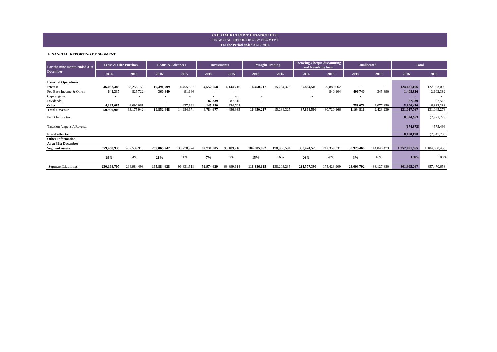#### **For the Period ended 31.12.2016 FINANCIAL REPORTING BY SEGMENT COLOMBO TRUST FINANCE PLC**

#### **FINANCIAL REPORTING BY SEGMENT**

| For the nine month ended 31st | Lease & Hire Purchase    |                          | Loans & Advances |             | <b>Investments</b>       |                          | <b>Margin Trading</b>    |             | <b>Factoring, Cheque discounting</b><br>and Revolving loan |             | <b>Unallocated</b>       |             | <b>Total</b>  |               |
|-------------------------------|--------------------------|--------------------------|------------------|-------------|--------------------------|--------------------------|--------------------------|-------------|------------------------------------------------------------|-------------|--------------------------|-------------|---------------|---------------|
| <b>December</b>               | 2016                     | 2015                     | 2016             | 2015        | 2016                     | 2015                     | 2016                     | 2015        | 2016                                                       | 2015        | 2016                     | 2015        | 2016          | 2015          |
| <b>External Operations</b>    |                          |                          |                  |             |                          |                          |                          |             |                                                            |             |                          |             |               |               |
| Interest                      | 46,062,483               | 58,258,159               | 19,491,799       | 14,455,837  | 4,552,058                | 4,144,716                | 16,450,217               | 15,284,325  | 37,864,509                                                 | 29,880,062  | $\overline{\phantom{a}}$ |             | 124,421,066   | 122,023,099   |
| Fee Base Income & Others      | 641,337                  | 825,722                  | 360,849          | 91,166      | $\overline{\phantom{a}}$ |                          | $\overline{\phantom{a}}$ |             | $\overline{\phantom{a}}$                                   | 840,104     | 406,740                  | 345,390     | 1,408,926     | 2,102,382     |
| Capital gains                 | $\overline{\phantom{a}}$ | ٠                        |                  |             | $\overline{\phantom{a}}$ | $\overline{\phantom{a}}$ | $\overline{\phantom{a}}$ |             | ٠                                                          |             |                          |             |               |               |
| Dividends                     | ٠                        | $\overline{\phantom{a}}$ |                  |             | 87,339                   | 87,515                   | $\overline{\phantom{a}}$ |             | $\overline{\phantom{a}}$                                   |             | ٠                        |             | 87,339        | 87,515        |
| Other                         | 4.197.085                | 4.092.061                | $\sim$           | 437,668     | 145,280                  | 224,704                  |                          |             | ٠                                                          |             | 758,071                  | 2,077,850   | 5,100,436     | 6,832,283     |
| <b>Total Revenue</b>          | 50,900,905               | 63,175,942               | 19,852,648       | 14,984,671  | 4,784,677                | 4,456,935                | 16,450,217               | 15,284,325  | 37,864,509                                                 | 30,720,166  | 1,164,811                | 2,423,239   | 131,017,767   | 131,045,278   |
| Profit before tax             |                          |                          |                  |             |                          |                          |                          |             |                                                            |             |                          |             | 8,324,963     | (2,921,229)   |
| Taxation (expense)/Reversal   |                          |                          |                  |             |                          |                          |                          |             |                                                            |             |                          |             | (174, 073)    | 575,496       |
| Profit after tax              |                          |                          |                  |             |                          |                          |                          |             |                                                            |             |                          |             | 8,150,890     | (2,345,733)   |
| <b>Other Information</b>      |                          |                          |                  |             |                          |                          |                          |             |                                                            |             |                          |             |               |               |
| As at 31st December           |                          |                          |                  |             |                          |                          |                          |             |                                                            |             |                          |             |               |               |
| <b>Segment</b> assets         | 359,458,935              | 407,539,918              | 259,065,242      | 133,778,924 | 82,731,505               | 95,189,216               | 184,885,892              | 190,936,594 | 330,424,523                                                | 242,359,331 | 35,925,468               | 114,846,473 | 1,252,491,565 | 1,184,650,456 |
|                               | 29%                      | 34%                      | 21%              | 11%         | 7%                       | 8%                       | 15%                      | 16%         | 26%                                                        | 20%         | 3%                       | 10%         | 100%          | 100%          |
| <b>Segment Liabilities</b>    | 230,168,707              | 294,984,498              | 165,884,628      | 96,831,518  | 52,974,629               | 68,899,614               | 118,386,115              | 138,203,235 | 211,577,396                                                | 175,423,909 | 23,003,792               | 83,127,880  | 801,995,267   | 857,470,653   |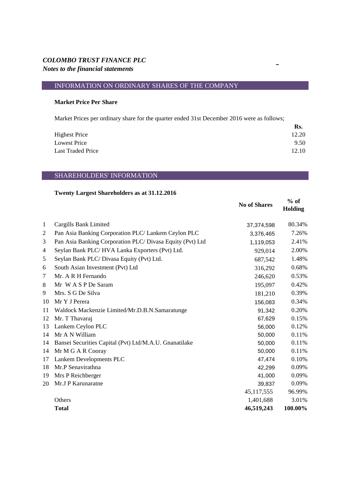# INFORMATION ON ORDINARY SHARES OF THE COMPANY

## **Market Price Per Share**

Market Prices per ordinary share for the quarter ended 31st December 2016 were as follows;

|                      | Rs.   |
|----------------------|-------|
| <b>Highest Price</b> | 12.20 |
| Lowest Price         | 9.50  |
| Last Traded Price    | 12.10 |

# SHAREHOLDERS' INFORMATION

## **Twenty Largest Shareholders as at 31.12.2016**

|              |                                                           | <b>No of Shares</b> | $%$ of<br><b>Holding</b> |
|--------------|-----------------------------------------------------------|---------------------|--------------------------|
| $\mathbf{1}$ | Cargills Bank Limited                                     | 37,374,598          | 80.34%                   |
| 2            | Pan Asia Banking Corporation PLC/ Lankem Ceylon PLC       | 3,376,465           | 7.26%                    |
| 3            | Pan Asia Banking Corporation PLC/ Divasa Equity (Pvt) Ltd | 1,119,053           | 2.41%                    |
| 4            | Seylan Bank PLC/HVA Lanka Exporters (Pvt) Ltd.            | 929,014             | 2.00%                    |
| 5            | Seylan Bank PLC/ Divasa Equity (Pvt) Ltd.                 | 687,542             | 1.48%                    |
| 6            | South Asian Investment (Pvt) Ltd                          | 316,292             | 0.68%                    |
| 7            | Mr. A R H Fernando                                        | 246,620             | 0.53%                    |
| 8            | Mr W A S P De Saram                                       | 195,097             | 0.42%                    |
| 9            | Mrs. S G De Silva                                         | 181,210             | 0.39%                    |
| 10           | Mr Y J Perera                                             | 156,083             | 0.34%                    |
| 11           | Waldock Mackenzie Limited/Mr.D.B.N.Samaratunge            | 91,342              | 0.20%                    |
| 12           | Mr. T Thavaraj                                            | 67,629              | 0.15%                    |
| 13           | Lankem Ceylon PLC                                         | 56,000              | 0.12%                    |
| 14           | Mr A N William                                            | 50,000              | 0.11%                    |
| 14           | Bansei Securities Capital (Pvt) Ltd/M.A.U. Gnanatilake    | 50,000              | 0.11%                    |
| 14           | Mr M G A R Cooray                                         | 50,000              | 0.11%                    |
| 17           | Lankem Developments PLC                                   | 47,474              | 0.10%                    |
| 18           | Mr.P Senavirathna                                         | 42,299              | 0.09%                    |
| 19           | Mrs P Reichberger                                         | 41,000              | 0.09%                    |
| 20           | Mr.J P Karunaratne                                        | 39,837              | 0.09%                    |
|              |                                                           | 45, 117, 555        | 96.99%                   |
|              | Others                                                    | 1,401,688           | 3.01%                    |
|              | <b>Total</b>                                              | 46,519,243          | 100.00%                  |